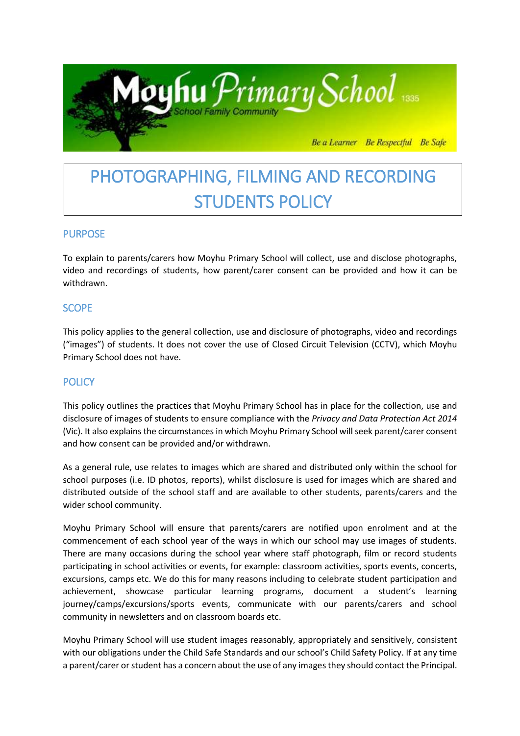

# PHOTOGRAPHING, FILMING AND RECORDING STUDENTS POLICY

## **PURPOSE**

To explain to parents/carers how Moyhu Primary School will collect, use and disclose photographs, video and recordings of students, how parent/carer consent can be provided and how it can be withdrawn.

## **SCOPE**

This policy applies to the general collection, use and disclosure of photographs, video and recordings ("images") of students. It does not cover the use of Closed Circuit Television (CCTV), which Moyhu Primary School does not have.

# **POLICY**

This policy outlines the practices that Moyhu Primary School has in place for the collection, use and disclosure of images of students to ensure compliance with the *Privacy and Data Protection Act 2014*  (Vic). It also explains the circumstances in which Moyhu Primary School will seek parent/carer consent and how consent can be provided and/or withdrawn.

As a general rule, use relates to images which are shared and distributed only within the school for school purposes (i.e. ID photos, reports), whilst disclosure is used for images which are shared and distributed outside of the school staff and are available to other students, parents/carers and the wider school community.

Moyhu Primary School will ensure that parents/carers are notified upon enrolment and at the commencement of each school year of the ways in which our school may use images of students. There are many occasions during the school year where staff photograph, film or record students participating in school activities or events, for example: classroom activities, sports events, concerts, excursions, camps etc. We do this for many reasons including to celebrate student participation and achievement, showcase particular learning programs, document a student's learning journey/camps/excursions/sports events, communicate with our parents/carers and school community in newsletters and on classroom boards etc.

Moyhu Primary School will use student images reasonably, appropriately and sensitively, consistent with our obligations under the Child Safe Standards and our school's Child Safety Policy. If at any time a parent/carer or student has a concern about the use of any images they should contact the Principal.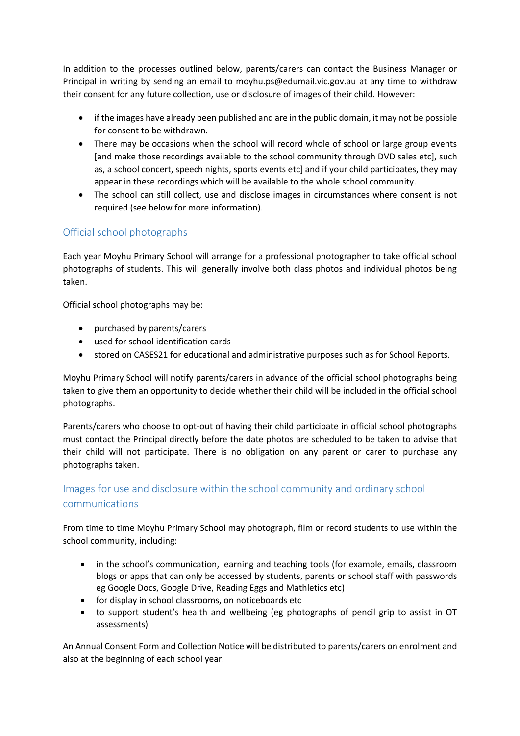In addition to the processes outlined below, parents/carers can contact the Business Manager or Principal in writing by sending an email to moyhu.ps@edumail.vic.gov.au at any time to withdraw their consent for any future collection, use or disclosure of images of their child. However:

- if the images have already been published and are in the public domain, it may not be possible for consent to be withdrawn.
- There may be occasions when the school will record whole of school or large group events [and make those recordings available to the school community through DVD sales etc], such as, a school concert, speech nights, sports events etc] and if your child participates, they may appear in these recordings which will be available to the whole school community.
- The school can still collect, use and disclose images in circumstances where consent is not required (see below for more information).

# Official school photographs

Each year Moyhu Primary School will arrange for a professional photographer to take official school photographs of students. This will generally involve both class photos and individual photos being taken.

Official school photographs may be:

- purchased by parents/carers
- used for school identification cards
- stored on CASES21 for educational and administrative purposes such as for School Reports.

Moyhu Primary School will notify parents/carers in advance of the official school photographs being taken to give them an opportunity to decide whether their child will be included in the official school photographs.

Parents/carers who choose to opt-out of having their child participate in official school photographs must contact the Principal directly before the date photos are scheduled to be taken to advise that their child will not participate. There is no obligation on any parent or carer to purchase any photographs taken.

# Images for use and disclosure within the school community and ordinary school communications

From time to time Moyhu Primary School may photograph, film or record students to use within the school community, including:

- in the school's communication, learning and teaching tools (for example, emails, classroom blogs or apps that can only be accessed by students, parents or school staff with passwords eg Google Docs, Google Drive, Reading Eggs and Mathletics etc)
- for display in school classrooms, on noticeboards etc
- to support student's health and wellbeing (eg photographs of pencil grip to assist in OT assessments)

An Annual Consent Form and Collection Notice will be distributed to parents/carers on enrolment and also at the beginning of each school year.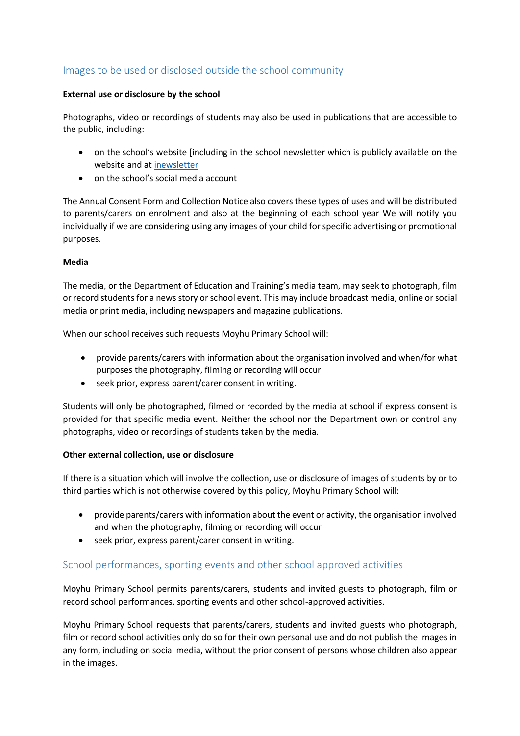# Images to be used or disclosed outside the school community

#### **External use or disclosure by the school**

Photographs, video or recordings of students may also be used in publications that are accessible to the public, including:

- on the school's website [including in the school newsletter which is publicly available on the website and at [inewsletter](https://inewsletter.co/1nkQax/archive/)
- on the school's social media account

The Annual Consent Form and Collection Notice also covers these types of uses and will be distributed to parents/carers on enrolment and also at the beginning of each school year We will notify you individually if we are considering using any images of your child for specific advertising or promotional purposes.

#### **Media**

The media, or the Department of Education and Training's media team, may seek to photograph, film or record students for a news story or school event. This may include broadcast media, online or social media or print media, including newspapers and magazine publications.

When our school receives such requests Moyhu Primary School will:

- provide parents/carers with information about the organisation involved and when/for what purposes the photography, filming or recording will occur
- seek prior, express parent/carer consent in writing.

Students will only be photographed, filmed or recorded by the media at school if express consent is provided for that specific media event. Neither the school nor the Department own or control any photographs, video or recordings of students taken by the media.

#### **Other external collection, use or disclosure**

If there is a situation which will involve the collection, use or disclosure of images of students by or to third parties which is not otherwise covered by this policy, Moyhu Primary School will:

- provide parents/carers with information about the event or activity, the organisation involved and when the photography, filming or recording will occur
- seek prior, express parent/carer consent in writing.

## School performances, sporting events and other school approved activities

Moyhu Primary School permits parents/carers, students and invited guests to photograph, film or record school performances, sporting events and other school-approved activities.

Moyhu Primary School requests that parents/carers, students and invited guests who photograph, film or record school activities only do so for their own personal use and do not publish the images in any form, including on social media, without the prior consent of persons whose children also appear in the images.